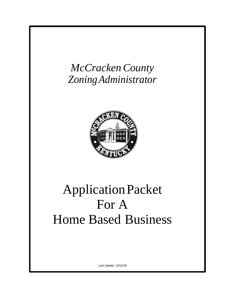# *McCrackenCounty ZoningAdministrator*



# ApplicationPacket For A Home Based Business

Last Update: 12/11/18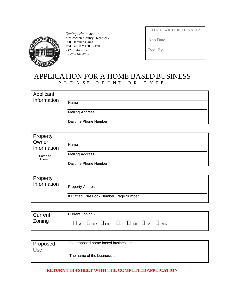

*Zoning Administrator* McCracken County, Kentucky 300 Clarence Gains Paducah, KY 42003-1700 v (270) 448-0125 f (270) 444-4737

| DO NOT WRITE IN THIS AREA |
|---------------------------|
| App Date                  |
| Rcd. By                   |

## APPLICATION FOR A HOME BASED BUSINESS P L E A S E P R I N T O R T Y P E

| Applicant<br>Information |                        |
|--------------------------|------------------------|
|                          | Name                   |
|                          | <b>Mailing Address</b> |
|                          | Daytime Phone Number   |

| Property<br>Owner<br>Information | Name                   |
|----------------------------------|------------------------|
| Same as<br>Above                 | <b>Mailing Address</b> |
|                                  | Daytime Phone Number   |

| <b>Property</b><br>Information |                                           |
|--------------------------------|-------------------------------------------|
|                                | <b>Property Address</b>                   |
|                                | If Platted, Plat Book Number, Page Number |

| <b>Current</b> | Current Zoning -                                                     |
|----------------|----------------------------------------------------------------------|
| Zoning         | $\Box$ ag $\Box$ rr $\Box$ ur $\Box$ c $\Box$ ml $\Box$ mh $\Box$ mr |

| Proposed<br>Use | The proposed home based business is: |
|-----------------|--------------------------------------|
|                 | The name of the business is:         |

#### **RETURN THIS SHEET WITH THE COMPLETEDAPPLICATION**